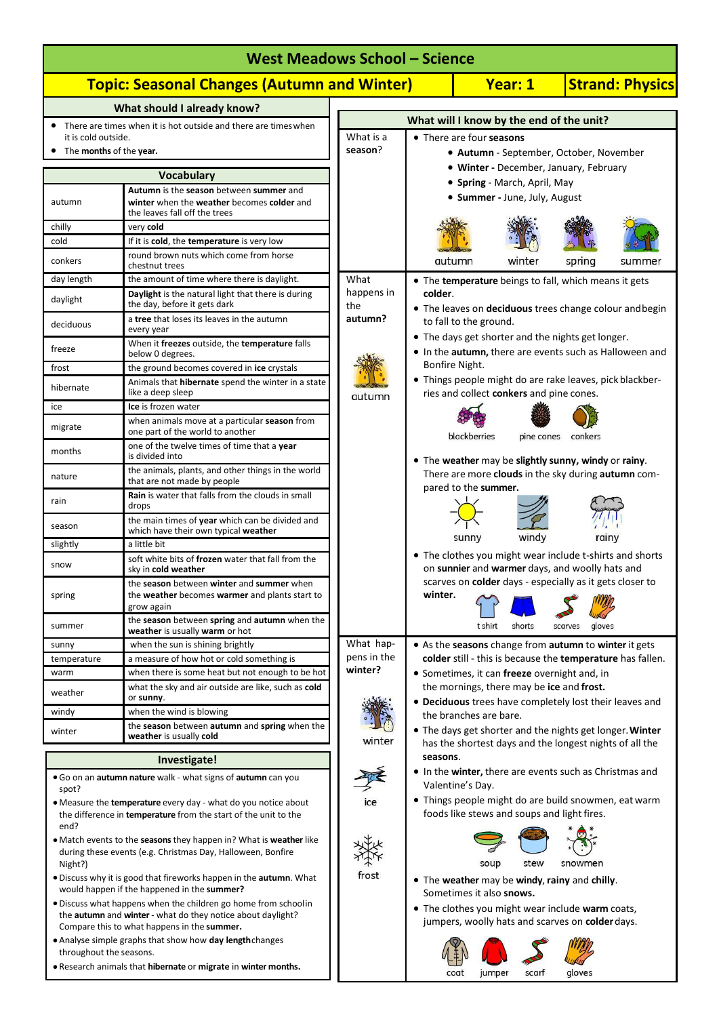|                                                                                                                                                                              | <b>West Meadows School - Science</b>                                                                                                          |                          |                                                                                                                     |  |  |  |
|------------------------------------------------------------------------------------------------------------------------------------------------------------------------------|-----------------------------------------------------------------------------------------------------------------------------------------------|--------------------------|---------------------------------------------------------------------------------------------------------------------|--|--|--|
|                                                                                                                                                                              | <b>Topic: Seasonal Changes (Autumn and Winter)</b>                                                                                            |                          | <b>Strand: Physics</b><br><b>Year: 1</b>                                                                            |  |  |  |
|                                                                                                                                                                              | What should I already know?                                                                                                                   |                          |                                                                                                                     |  |  |  |
| it is cold outside.<br>The months of the year.                                                                                                                               | • There are times when it is hot outside and there are times when                                                                             | What is a<br>season?     | What will I know by the end of the unit?<br>• There are four seasons<br>• Autumn - September, October, November     |  |  |  |
| Vocabulary                                                                                                                                                                   |                                                                                                                                               |                          | • Winter - December, January, February                                                                              |  |  |  |
| autumn                                                                                                                                                                       | Autumn is the season between summer and<br>winter when the weather becomes colder and<br>the leaves fall off the trees                        |                          | • Spring - March, April, May<br>· Summer - June, July, August                                                       |  |  |  |
| chilly                                                                                                                                                                       | very cold                                                                                                                                     |                          |                                                                                                                     |  |  |  |
| cold<br>conkers                                                                                                                                                              | If it is cold, the temperature is very low<br>round brown nuts which come from horse<br>chestnut trees                                        |                          | autumn<br>winter<br>spring<br>summer                                                                                |  |  |  |
| day length                                                                                                                                                                   | the amount of time where there is daylight.                                                                                                   | What                     | • The temperature beings to fall, which means it gets                                                               |  |  |  |
| daylight                                                                                                                                                                     | Daylight is the natural light that there is during<br>the day, before it gets dark                                                            | happens in<br>the        | colder.<br>• The leaves on deciduous trees change colour and begin                                                  |  |  |  |
| deciduous                                                                                                                                                                    | a tree that loses its leaves in the autumn<br>every year                                                                                      | autumn?                  | to fall to the ground.<br>• The days get shorter and the nights get longer.                                         |  |  |  |
| freeze                                                                                                                                                                       | When it freezes outside, the temperature falls<br>below 0 degrees.                                                                            |                          | • In the autumn, there are events such as Halloween and                                                             |  |  |  |
| frost                                                                                                                                                                        | the ground becomes covered in ice crystals                                                                                                    |                          | Bonfire Night.<br>• Things people might do are rake leaves, pick blackber-                                          |  |  |  |
| hibernate                                                                                                                                                                    | Animals that <b>hibernate</b> spend the winter in a state<br>like a deep sleep                                                                | autumn                   | ries and collect conkers and pine cones.                                                                            |  |  |  |
| ice                                                                                                                                                                          | Ice is frozen water                                                                                                                           |                          |                                                                                                                     |  |  |  |
| migrate                                                                                                                                                                      | when animals move at a particular season from<br>one part of the world to another                                                             |                          | blackberries<br>pine cones conkers                                                                                  |  |  |  |
| months                                                                                                                                                                       | one of the twelve times of time that a year<br>is divided into                                                                                |                          | • The weather may be slightly sunny, windy or rainy.                                                                |  |  |  |
| nature                                                                                                                                                                       | the animals, plants, and other things in the world<br>that are not made by people<br><b>Rain</b> is water that falls from the clouds in small |                          | There are more clouds in the sky during autumn com-<br>pared to the summer.                                         |  |  |  |
| rain                                                                                                                                                                         | drops                                                                                                                                         |                          |                                                                                                                     |  |  |  |
| season                                                                                                                                                                       | the main times of year which can be divided and<br>which have their own typical weather<br>a little bit                                       |                          | windy<br>sunny<br>rainy                                                                                             |  |  |  |
| slightly<br>snow                                                                                                                                                             | soft white bits of frozen water that fall from the<br>sky in cold weather                                                                     |                          | • The clothes you might wear include t-shirts and shorts<br>on sunnier and warmer days, and woolly hats and         |  |  |  |
| spring                                                                                                                                                                       | the season between winter and summer when<br>the weather becomes warmer and plants start to<br>grow again                                     |                          | scarves on colder days - especially as it gets closer to<br>winter.                                                 |  |  |  |
| summer                                                                                                                                                                       | the season between spring and autumn when the<br>weather is usually warm or hot                                                               |                          | gloves<br>t shirt<br>shorts<br>scarves                                                                              |  |  |  |
| sunny<br>temperature                                                                                                                                                         | when the sun is shining brightly<br>a measure of how hot or cold something is                                                                 | What hap-<br>pens in the | • As the seasons change from autumn to winter it gets<br>colder still - this is because the temperature has fallen. |  |  |  |
| warm                                                                                                                                                                         | when there is some heat but not enough to be hot                                                                                              | winter?                  | • Sometimes, it can freeze overnight and, in                                                                        |  |  |  |
| weather                                                                                                                                                                      | what the sky and air outside are like, such as cold<br>or sunny.                                                                              |                          | the mornings, there may be ice and frost.<br>• Deciduous trees have completely lost their leaves and                |  |  |  |
| windy                                                                                                                                                                        | when the wind is blowing                                                                                                                      |                          | the branches are bare.                                                                                              |  |  |  |
| winter                                                                                                                                                                       | the season between autumn and spring when the<br>weather is usually cold                                                                      | winter                   | • The days get shorter and the nights get longer. Winter<br>has the shortest days and the longest nights of all the |  |  |  |
|                                                                                                                                                                              | Investigate!                                                                                                                                  |                          | seasons.                                                                                                            |  |  |  |
| spot?                                                                                                                                                                        | . Go on an autumn nature walk - what signs of autumn can you                                                                                  |                          | • In the <b>winter</b> , there are events such as Christmas and<br>Valentine's Day.                                 |  |  |  |
| end?                                                                                                                                                                         | • Measure the temperature every day - what do you notice about<br>the difference in <b>temperature</b> from the start of the unit to the      |                          | • Things people might do are build snowmen, eat warm<br>foods like stews and soups and light fires.                 |  |  |  |
| • Match events to the seasons they happen in? What is weather like<br>during these events (e.g. Christmas Day, Halloween, Bonfire<br>Night?)                                 |                                                                                                                                               |                          | soup<br>stew<br>snowmen                                                                                             |  |  |  |
| . Discuss why it is good that fireworks happen in the autumn. What<br>would happen if the happened in the summer?                                                            |                                                                                                                                               | frost                    | • The weather may be windy, rainy and chilly.<br>Sometimes it also snows.                                           |  |  |  |
| • Discuss what happens when the children go home from schoolin<br>the autumn and winter - what do they notice about daylight?<br>Compare this to what happens in the summer. |                                                                                                                                               |                          | • The clothes you might wear include warm coats,<br>jumpers, woolly hats and scarves on colder days.                |  |  |  |
| • Analyse simple graphs that show how day length changes<br>throughout the seasons.<br>. Research animals that hibernate or migrate in winter months.                        |                                                                                                                                               |                          | gloves<br>scarf<br>coat<br>jumper                                                                                   |  |  |  |